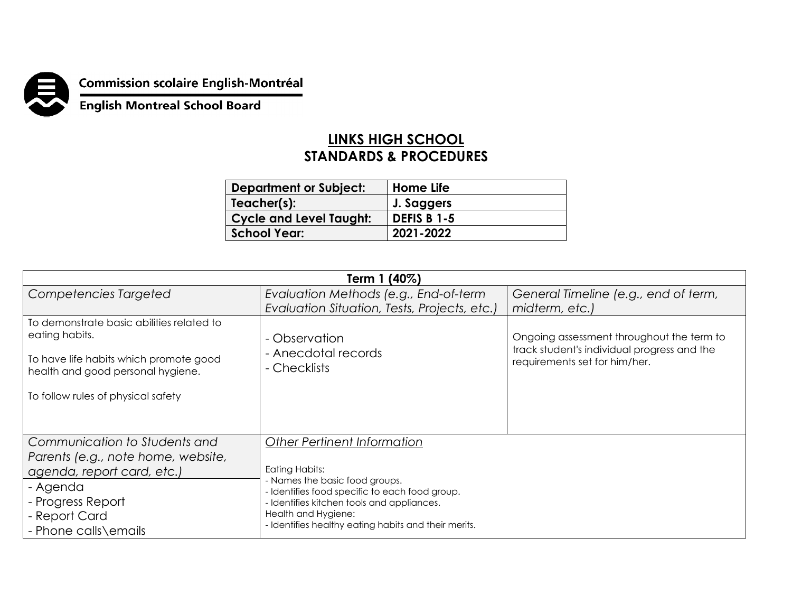

## **Commission scolaire English-Montréal<br>English Montreal School Board**

## **LINKS HIGH SCHOOL STANDARDS & PROCEDURES**

| <b>Department or Subject:</b>  | Home Life          |
|--------------------------------|--------------------|
| Teacher(s):                    | J. Saggers         |
| <b>Cycle and Level Taught:</b> | <b>DEFIS B 1-5</b> |
| <b>School Year:</b>            | 2021-2022          |

| Term 1 (40%)                                                                                                                                                                     |                                                                                                                                                                                                                                                                       |                                                                                                                           |  |  |
|----------------------------------------------------------------------------------------------------------------------------------------------------------------------------------|-----------------------------------------------------------------------------------------------------------------------------------------------------------------------------------------------------------------------------------------------------------------------|---------------------------------------------------------------------------------------------------------------------------|--|--|
| Competencies Targeted                                                                                                                                                            | Evaluation Methods (e.g., End-of-term                                                                                                                                                                                                                                 | General Timeline (e.g., end of term,                                                                                      |  |  |
|                                                                                                                                                                                  | Evaluation Situation, Tests, Projects, etc.)                                                                                                                                                                                                                          | midterm, etc.)                                                                                                            |  |  |
| To demonstrate basic abilities related to<br>eating habits.<br>To have life habits which promote good<br>health and good personal hygiene.<br>To follow rules of physical safety | - Observation<br>- Anecdotal records<br>- Checklists                                                                                                                                                                                                                  | Ongoing assessment throughout the term to<br>track student's individual progress and the<br>requirements set for him/her. |  |  |
| Communication to Students and<br>Parents (e.g., note home, website,<br>agenda, report card, etc.)<br>- Agenda<br>- Progress Report<br>- Report Card<br>- Phone calls\emails      | <b>Other Pertinent Information</b><br>Eating Habits:<br>- Names the basic food groups.<br>- Identifies food specific to each food group.<br>- Identifies kitchen tools and appliances.<br>Health and Hygiene:<br>- Identifies healthy eating habits and their merits. |                                                                                                                           |  |  |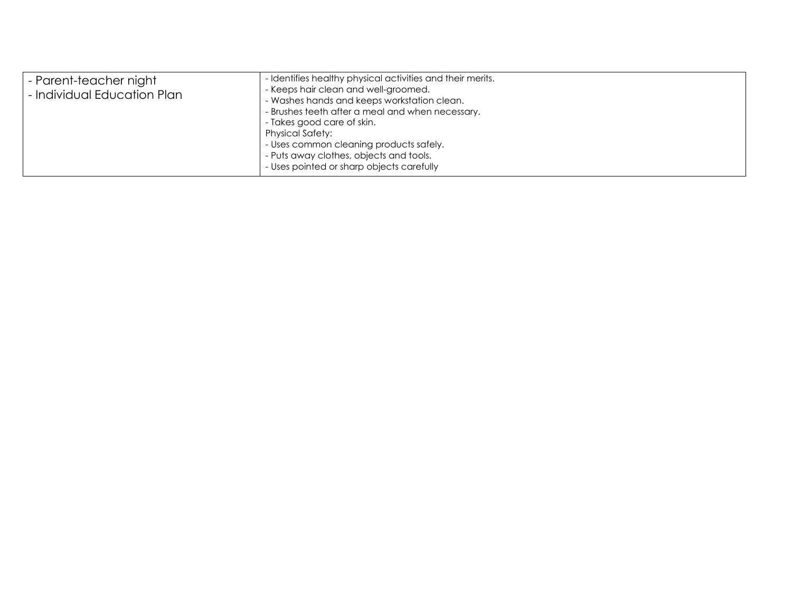| - Parent-teacher night<br>- Individual Education Plan | - Identifies healthy physical activities and their merits.<br>- Keeps hair clean and well-groomed.<br>- Washes hands and keeps workstation clean.<br>- Brushes teeth after a meal and when necessary.<br>- Takes good care of skin.<br><b>Physical Safety:</b><br>- Uses common cleaning products safely.<br>- Puts away clothes, objects and tools. |
|-------------------------------------------------------|------------------------------------------------------------------------------------------------------------------------------------------------------------------------------------------------------------------------------------------------------------------------------------------------------------------------------------------------------|
|                                                       | - Uses pointed or sharp objects carefully                                                                                                                                                                                                                                                                                                            |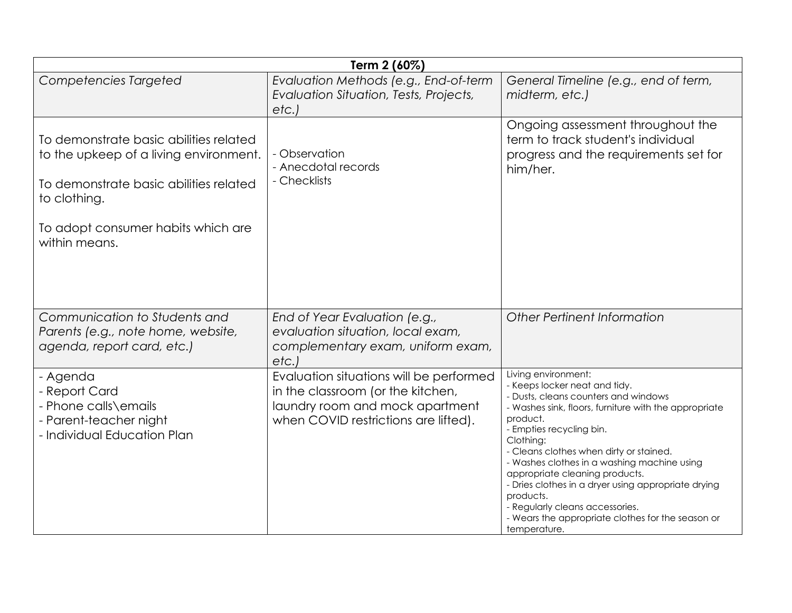| Term 2 (60%)                                                                                                                                                                                      |                                                                                                                                                         |                                                                                                                                                                                                                                                                                                                                                                                                                                                                                                                    |
|---------------------------------------------------------------------------------------------------------------------------------------------------------------------------------------------------|---------------------------------------------------------------------------------------------------------------------------------------------------------|--------------------------------------------------------------------------------------------------------------------------------------------------------------------------------------------------------------------------------------------------------------------------------------------------------------------------------------------------------------------------------------------------------------------------------------------------------------------------------------------------------------------|
| <b>Competencies Targeted</b>                                                                                                                                                                      | Evaluation Methods (e.g., End-of-term<br>Evaluation Situation, Tests, Projects,<br>etc.                                                                 | General Timeline (e.g., end of term,<br>midterm, etc.)                                                                                                                                                                                                                                                                                                                                                                                                                                                             |
| To demonstrate basic abilities related<br>to the upkeep of a living environment.<br>To demonstrate basic abilities related<br>to clothing.<br>To adopt consumer habits which are<br>within means. | - Observation<br>- Anecdotal records<br>- Checklists                                                                                                    | Ongoing assessment throughout the<br>term to track student's individual<br>progress and the requirements set for<br>him/her.                                                                                                                                                                                                                                                                                                                                                                                       |
| Communication to Students and<br>Parents (e.g., note home, website,<br>agenda, report card, etc.)                                                                                                 | End of Year Evaluation (e.g.,<br>evaluation situation, local exam,<br>complementary exam, uniform exam,<br>etc.                                         | Other Pertinent Information                                                                                                                                                                                                                                                                                                                                                                                                                                                                                        |
| - Agenda<br>- Report Card<br>- Phone calls\emails<br>- Parent-teacher night<br>- Individual Education Plan                                                                                        | Evaluation situations will be performed<br>in the classroom (or the kitchen,<br>laundry room and mock apartment<br>when COVID restrictions are lifted). | Living environment:<br>- Keeps locker neat and tidy.<br>- Dusts, cleans counters and windows<br>- Washes sink, floors, furniture with the appropriate<br>product.<br>- Empties recycling bin.<br>Clothing:<br>- Cleans clothes when dirty or stained.<br>- Washes clothes in a washing machine using<br>appropriate cleaning products.<br>- Dries clothes in a dryer using appropriate drying<br>products.<br>- Regularly cleans accessories.<br>- Wears the appropriate clothes for the season or<br>temperature. |